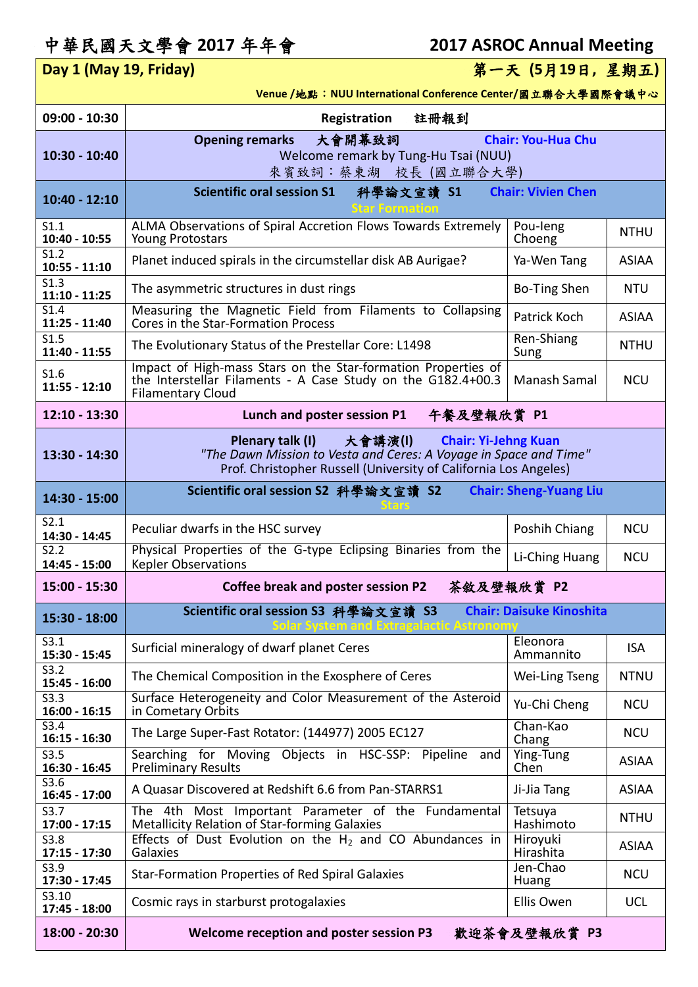## 中華民國天文學會 **2017** 年年會 **2017 ASROC Annual Meeting**

## **Day 1 (May 19, Friday)** 第一天 **(5**月**19**日**,** 星期五**)**

**Venue /**地點:**NUU International Conference Center/**國立聯合大學國際會議中心

| 09:00 - 10:30                               | 註冊報到<br>Registration                                                                                                                                                                                |                           |              |
|---------------------------------------------|-----------------------------------------------------------------------------------------------------------------------------------------------------------------------------------------------------|---------------------------|--------------|
| 10:30 - 10:40                               | <b>Chair: You-Hua Chu</b><br><b>Opening remarks</b><br>大會開幕致詞<br>Welcome remark by Tung-Hu Tsai (NUU)<br>來賓致詞:蔡東湖 校長 (國立聯合大學)                                                                       |                           |              |
| $10:40 - 12:10$                             | <b>Scientific oral session S1</b><br>科學論文宣讀 S1<br><b>Star Formation</b>                                                                                                                             | <b>Chair: Vivien Chen</b> |              |
| S1.1<br>10:40 - 10:55                       | ALMA Observations of Spiral Accretion Flows Towards Extremely<br><b>Young Protostars</b>                                                                                                            | Pou-leng<br>Choeng        | <b>NTHU</b>  |
| S1.2<br>$10:55 - 11:10$                     | Planet induced spirals in the circumstellar disk AB Aurigae?                                                                                                                                        | Ya-Wen Tang               | <b>ASIAA</b> |
| S1.3<br>$11:10 - 11:25$                     | The asymmetric structures in dust rings                                                                                                                                                             | Bo-Ting Shen              | <b>NTU</b>   |
| $\overline{\text{S}1.4}$<br>$11:25 - 11:40$ | Measuring the Magnetic Field from Filaments to Collapsing<br>Cores in the Star-Formation Process                                                                                                    | Patrick Koch              | <b>ASIAA</b> |
| S1.5<br>11:40 - 11:55                       | The Evolutionary Status of the Prestellar Core: L1498                                                                                                                                               | Ren-Shiang<br>Sung        | <b>NTHU</b>  |
| S1.6<br>$11:55 - 12:10$                     | Impact of High-mass Stars on the Star-formation Properties of<br>the Interstellar Filaments - A Case Study on the G182.4+00.3<br><b>Filamentary Cloud</b>                                           | Manash Samal              | <b>NCU</b>   |
| $12:10 - 13:30$                             | 午餐及壁報欣賞 P1<br>Lunch and poster session P1                                                                                                                                                           |                           |              |
| 13:30 - 14:30                               | Plenary talk (I)<br>大會講演(1)<br><b>Chair: Yi-Jehng Kuan</b><br>"The Dawn Mission to Vesta and Ceres: A Voyage in Space and Time"<br>Prof. Christopher Russell (University of California Los Angeles) |                           |              |
| 14:30 - 15:00                               | Scientific oral session S2 科學論文宣讀 S2<br><b>Chair: Sheng-Yuang Liu</b>                                                                                                                               |                           |              |
| S2.1<br>14:30 - 14:45                       | Peculiar dwarfs in the HSC survey                                                                                                                                                                   | Poshih Chiang             | <b>NCU</b>   |
| S2.2<br>14:45 - 15:00                       | Physical Properties of the G-type Eclipsing Binaries from the<br><b>Kepler Observations</b>                                                                                                         | Li-Ching Huang            | <b>NCU</b>   |
| 15:00 - 15:30                               | 茶敘及壁報欣賞 P2<br><b>Coffee break and poster session P2</b>                                                                                                                                             |                           |              |
| 15:30 - 18:00                               | <b>Chair: Daisuke Kinoshita</b><br>Scientific oral session S3 科學論文宣讀 S3                                                                                                                             |                           |              |
| S3.1<br>15:30 - 15:45                       | Surficial mineralogy of dwarf planet Ceres                                                                                                                                                          | Eleonora<br>Ammannito     | <b>ISA</b>   |
| S3.2<br>15:45 - 16:00                       | The Chemical Composition in the Exosphere of Ceres                                                                                                                                                  | Wei-Ling Tseng            | <b>NTNU</b>  |
| S3.3<br>$16:00 - 16:15$                     | Surface Heterogeneity and Color Measurement of the Asteroid<br>in Cometary Orbits                                                                                                                   | Yu-Chi Cheng              | <b>NCU</b>   |
| S3.4<br>$16:15 - 16:30$                     | The Large Super-Fast Rotator: (144977) 2005 EC127                                                                                                                                                   | Chan-Kao<br>Chang         | <b>NCU</b>   |
| S3.5<br>16:30 - 16:45                       | Searching for Moving Objects in HSC-SSP: Pipeline<br>and<br><b>Preliminary Results</b>                                                                                                              | Ying-Tung<br>Chen         | <b>ASIAA</b> |
| S3.6<br>$16:45 - 17:00$                     | A Quasar Discovered at Redshift 6.6 from Pan-STARRS1                                                                                                                                                | Ji-Jia Tang               | <b>ASIAA</b> |
| S3.7<br>$17:00 - 17:15$                     | The 4th Most Important Parameter of the Fundamental<br><b>Metallicity Relation of Star-forming Galaxies</b>                                                                                         | Tetsuya<br>Hashimoto      | <b>NTHU</b>  |
| S3.8<br>17:15 - 17:30                       | Effects of Dust Evolution on the $H_2$ and CO Abundances in<br>Galaxies                                                                                                                             | Hiroyuki<br>Hirashita     | <b>ASIAA</b> |
| S3.9<br>17:30 - 17:45                       | <b>Star-Formation Properties of Red Spiral Galaxies</b>                                                                                                                                             | Jen-Chao<br>Huang         | <b>NCU</b>   |
| S3.10<br>17:45 - 18:00                      | Cosmic rays in starburst protogalaxies                                                                                                                                                              | Ellis Owen                | <b>UCL</b>   |
| 18:00 - 20:30                               | Welcome reception and poster session P3                                                                                                                                                             | 歡迎茶會及壁報欣賞 P3              |              |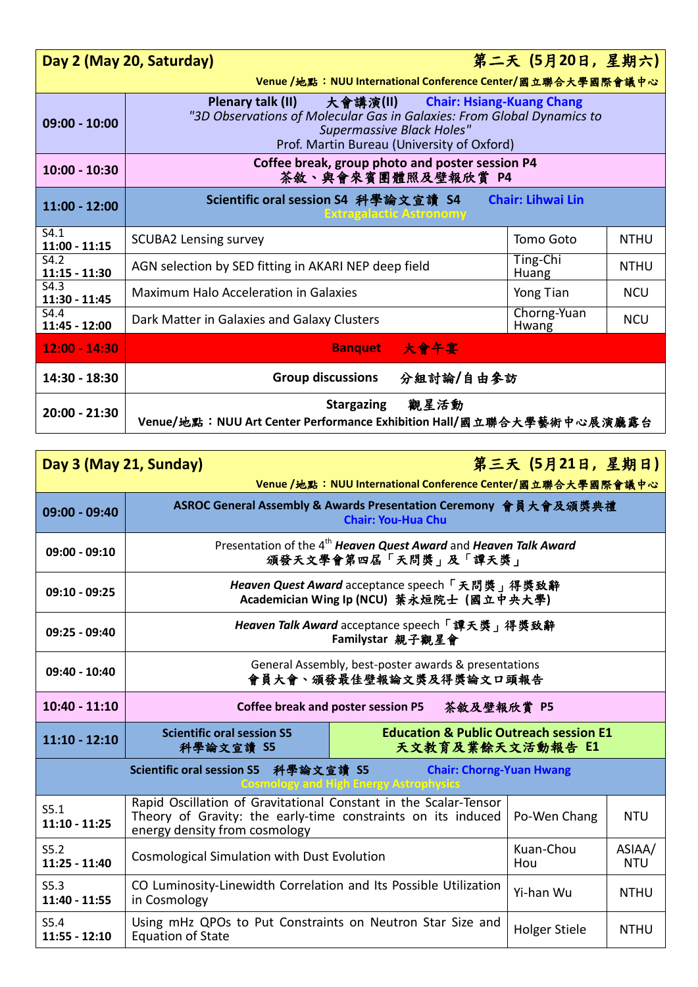|                         | Day 2 (May 20, Saturday)                                                                                                                                                                                            | 第二天 (5月20日,星期六)          |             |  |
|-------------------------|---------------------------------------------------------------------------------------------------------------------------------------------------------------------------------------------------------------------|--------------------------|-------------|--|
|                         | Venue /地點: NUU International Conference Center/國立聯合大學國際會議中心                                                                                                                                                         |                          |             |  |
| $09:00 - 10:00$         | Plenary talk (II)<br>大會講演(II) Chair: Hsiang-Kuang Chang<br>"3D Observations of Molecular Gas in Galaxies: From Global Dynamics to<br><b>Supermassive Black Holes"</b><br>Prof. Martin Bureau (University of Oxford) |                          |             |  |
| $10:00 - 10:30$         | Coffee break, group photo and poster session P4<br>茶敘、與會來賓團體照及壁報欣賞 P4                                                                                                                                               |                          |             |  |
| $11:00 - 12:00$         | <b>Chair: Lihwai Lin</b><br>Scientific oral session S4 科學論文宣讀 S4<br><b>Extragalactic Astronomy</b>                                                                                                                  |                          |             |  |
| S4.1<br>$11:00 - 11:15$ | <b>SCUBA2 Lensing survey</b>                                                                                                                                                                                        | Tomo Goto                | <b>NTHU</b> |  |
| S4.2<br>$11:15 - 11:30$ | AGN selection by SED fitting in AKARI NEP deep field                                                                                                                                                                | Ting-Chi<br><b>Huang</b> | <b>NTHU</b> |  |
| S4.3<br>11:30 - 11:45   | Maximum Halo Acceleration in Galaxies                                                                                                                                                                               | Yong Tian                | <b>NCU</b>  |  |
| S4.4<br>11:45 - 12:00   | Dark Matter in Galaxies and Galaxy Clusters                                                                                                                                                                         | Chorng-Yuan<br>Hwang     | <b>NCU</b>  |  |
| $12:00 - 14:30$         | Banquet 大會午宴                                                                                                                                                                                                        |                          |             |  |
| 14:30 - 18:30           | 分組討論/自由參訪<br><b>Group discussions</b>                                                                                                                                                                               |                          |             |  |
| 20:00 - 21:30           | Stargazing 觀星活動<br>Venue/地點: NUU Art Center Performance Exhibition Hall/國立聯合大學藝術中心展演廳露台                                                                                                                             |                          |             |  |

| Day 3 (May 21, Sunday)                                                                                                          |                                                                                                                                                                   |                                                                       | 第三天(5月21日,星期日)       |                      |  |  |
|---------------------------------------------------------------------------------------------------------------------------------|-------------------------------------------------------------------------------------------------------------------------------------------------------------------|-----------------------------------------------------------------------|----------------------|----------------------|--|--|
| Venue / 地點: NUU International Conference Center/國立聯合大學國際會議中心<br>ASROC General Assembly & Awards Presentation Ceremony 會員大會及頒獎典禮 |                                                                                                                                                                   |                                                                       |                      |                      |  |  |
| 09:00 - 09:40                                                                                                                   |                                                                                                                                                                   | <b>Chair: You-Hua Chu</b>                                             |                      |                      |  |  |
| $09:00 - 09:10$                                                                                                                 | Presentation of the 4 <sup>th</sup> Heaven Quest Award and Heaven Talk Award<br>頒發天文學會第四屆「天問獎」及「譚天獎」                                                              |                                                                       |                      |                      |  |  |
| $09:10 - 09:25$                                                                                                                 | Heaven Quest Award acceptance speech「天問獎」得獎致辭<br>Academician Wing Ip (NCU) 葉永烜院士 (國立中央大學)                                                                         |                                                                       |                      |                      |  |  |
| 09:25 - 09:40                                                                                                                   | Heaven Talk Award acceptance speech 「譚天獎」得獎致辭<br>Familystar 親子觀星會                                                                                                 |                                                                       |                      |                      |  |  |
| $09:40 - 10:40$                                                                                                                 | General Assembly, best-poster awards & presentations<br>會員大會、頒發最佳壁報論文獎及得獎論文口頭報告                                                                                   |                                                                       |                      |                      |  |  |
| $10:40 - 11:10$                                                                                                                 | Coffee break and poster session P5<br>茶敘及壁報欣賞 P5                                                                                                                  |                                                                       |                      |                      |  |  |
| $11:10 - 12:10$                                                                                                                 | <b>Scientific oral session S5</b><br>科學論文宣讀 S5                                                                                                                    | <b>Education &amp; Public Outreach session E1</b><br>天文教育及業餘天文活動報告 E1 |                      |                      |  |  |
| Scientific oral session S5 科學論文宣讀 S5<br><b>Chair: Chorng-Yuan Hwang</b><br><b>Cosmology and High Energy Astrophysics</b>        |                                                                                                                                                                   |                                                                       |                      |                      |  |  |
| S5.1<br>$11:10 - 11:25$                                                                                                         | Rapid Oscillation of Gravitational Constant in the Scalar-Tensor<br>Theory of Gravity: the early-time constraints on its induced<br>energy density from cosmology |                                                                       | Po-Wen Chang         | <b>NTU</b>           |  |  |
| S5.2<br>$11:25 - 11:40$                                                                                                         | Cosmological Simulation with Dust Evolution                                                                                                                       |                                                                       | Kuan-Chou<br>Hou     | ASIAA/<br><b>NTU</b> |  |  |
| S5.3<br>11:40 - 11:55                                                                                                           | CO Luminosity-Linewidth Correlation and Its Possible Utilization<br>in Cosmology                                                                                  |                                                                       | Yi-han Wu            | <b>NTHU</b>          |  |  |
| S5.4<br>$11:55 - 12:10$                                                                                                         | Using mHz QPOs to Put Constraints on Neutron Star Size and<br><b>Equation of State</b>                                                                            |                                                                       | <b>Holger Stiele</b> | <b>NTHU</b>          |  |  |